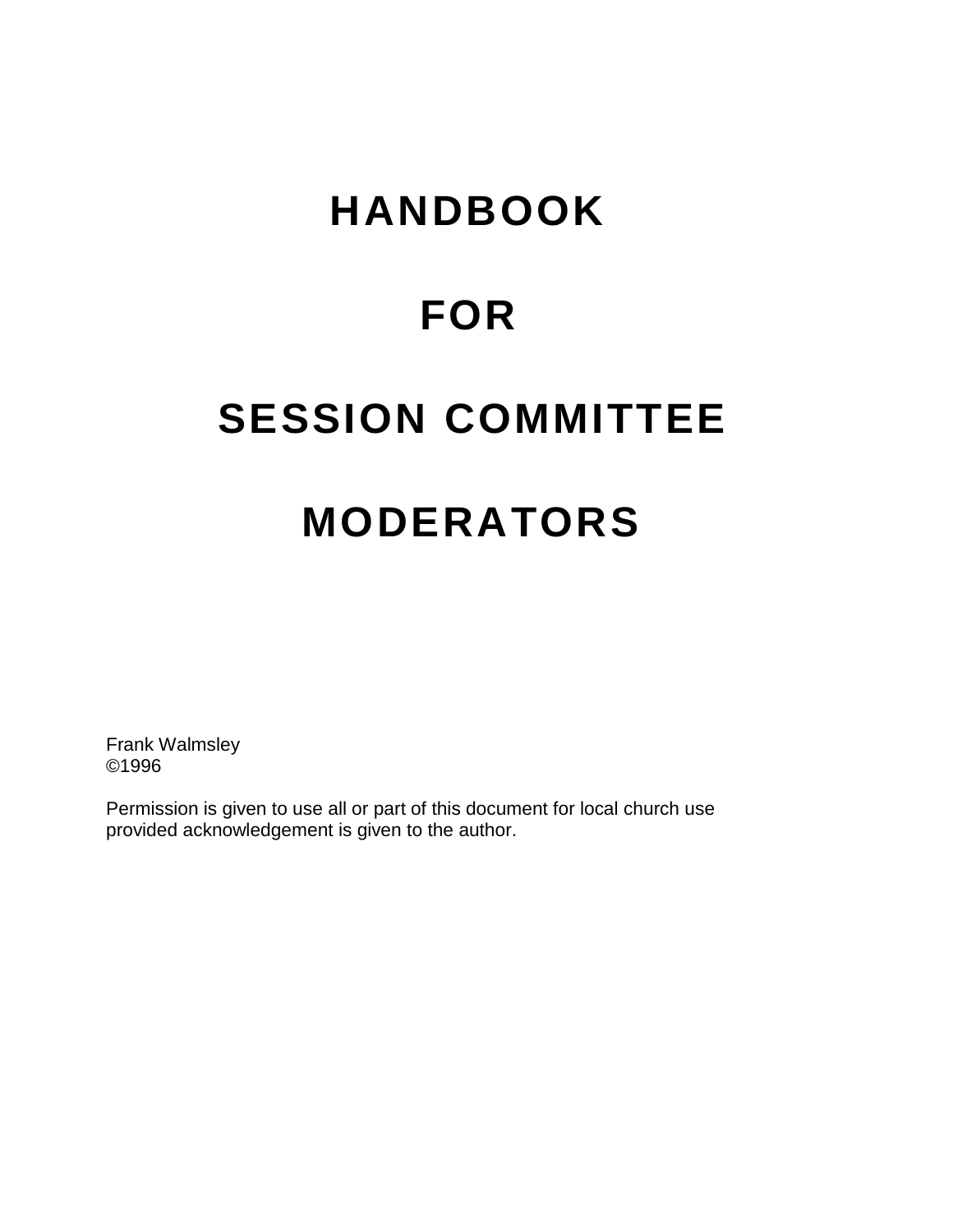# **HANDBOOK**

## **FOR**

## **SESSION COMMITTEE**

# **MODERATORS**

Frank Walmsley ©1996

Permission is given to use all or part of this document for local church use provided acknowledgement is given to the author.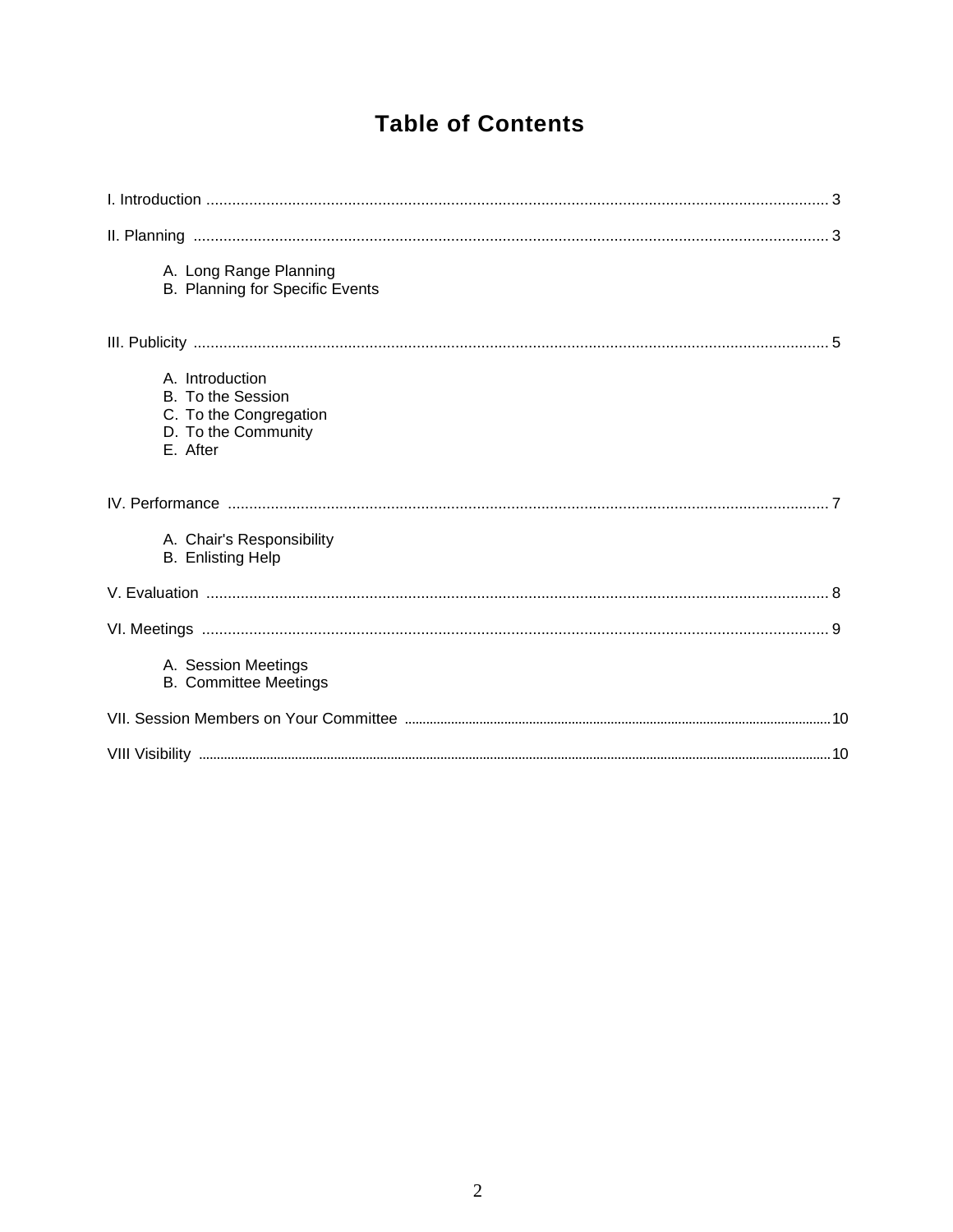## **Table of Contents**

| A. Long Range Planning<br><b>B. Planning for Specific Events</b>                                  |  |
|---------------------------------------------------------------------------------------------------|--|
|                                                                                                   |  |
| A. Introduction<br>B. To the Session<br>C. To the Congregation<br>D. To the Community<br>E. After |  |
|                                                                                                   |  |
| A. Chair's Responsibility<br><b>B.</b> Enlisting Help                                             |  |
|                                                                                                   |  |
|                                                                                                   |  |
| A. Session Meetings<br><b>B. Committee Meetings</b>                                               |  |
|                                                                                                   |  |
|                                                                                                   |  |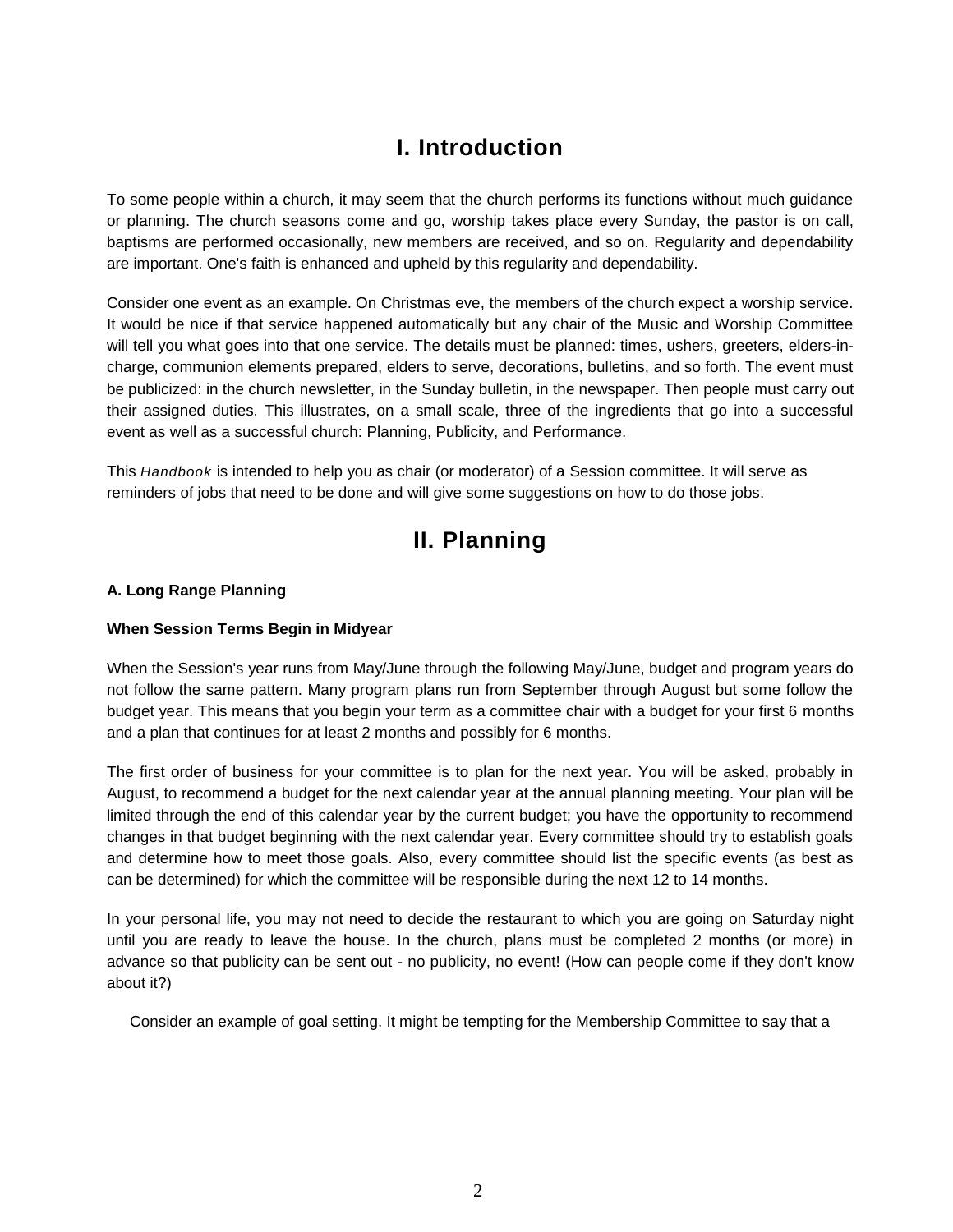## **I. Introduction**

To some people within a church, it may seem that the church performs its functions without much guidance or planning. The church seasons come and go, worship takes place every Sunday, the pastor is on call, baptisms are performed occasionally, new members are received, and so on. Regularity and dependability are important. One's faith is enhanced and upheld by this regularity and dependability.

Consider one event as an example. On Christmas eve, the members of the church expect a worship service. It would be nice if that service happened automatically but any chair of the Music and Worship Committee will tell you what goes into that one service. The details must be planned: times, ushers, greeters, elders-incharge, communion elements prepared, elders to serve, decorations, bulletins, and so forth. The event must be publicized: in the church newsletter, in the Sunday bulletin, in the newspaper. Then people must carry out their assigned duties. This illustrates, on a small scale, three of the ingredients that go into a successful event as well as a successful church: Planning, Publicity, and Performance.

This *Handbook* is intended to help you as chair (or moderator) of a Session committee. It will serve as reminders of jobs that need to be done and will give some suggestions on how to do those jobs.

### **II. Planning**

#### **A. Long Range Planning**

#### **When Session Terms Begin in Midyear**

When the Session's year runs from May/June through the following May/June, budget and program years do not follow the same pattern. Many program plans run from September through August but some follow the budget year. This means that you begin your term as a committee chair with a budget for your first 6 months and a plan that continues for at least 2 months and possibly for 6 months.

The first order of business for your committee is to plan for the next year. You will be asked, probably in August, to recommend a budget for the next calendar year at the annual planning meeting. Your plan will be limited through the end of this calendar year by the current budget; you have the opportunity to recommend changes in that budget beginning with the next calendar year. Every committee should try to establish goals and determine how to meet those goals. Also, every committee should list the specific events (as best as can be determined) for which the committee will be responsible during the next 12 to 14 months.

In your personal life, you may not need to decide the restaurant to which you are going on Saturday night until you are ready to leave the house. In the church, plans must be completed 2 months (or more) in advance so that publicity can be sent out - no publicity, no event! (How can people come if they don't know about it?)

Consider an example of goal setting. It might be tempting for the Membership Committee to say that a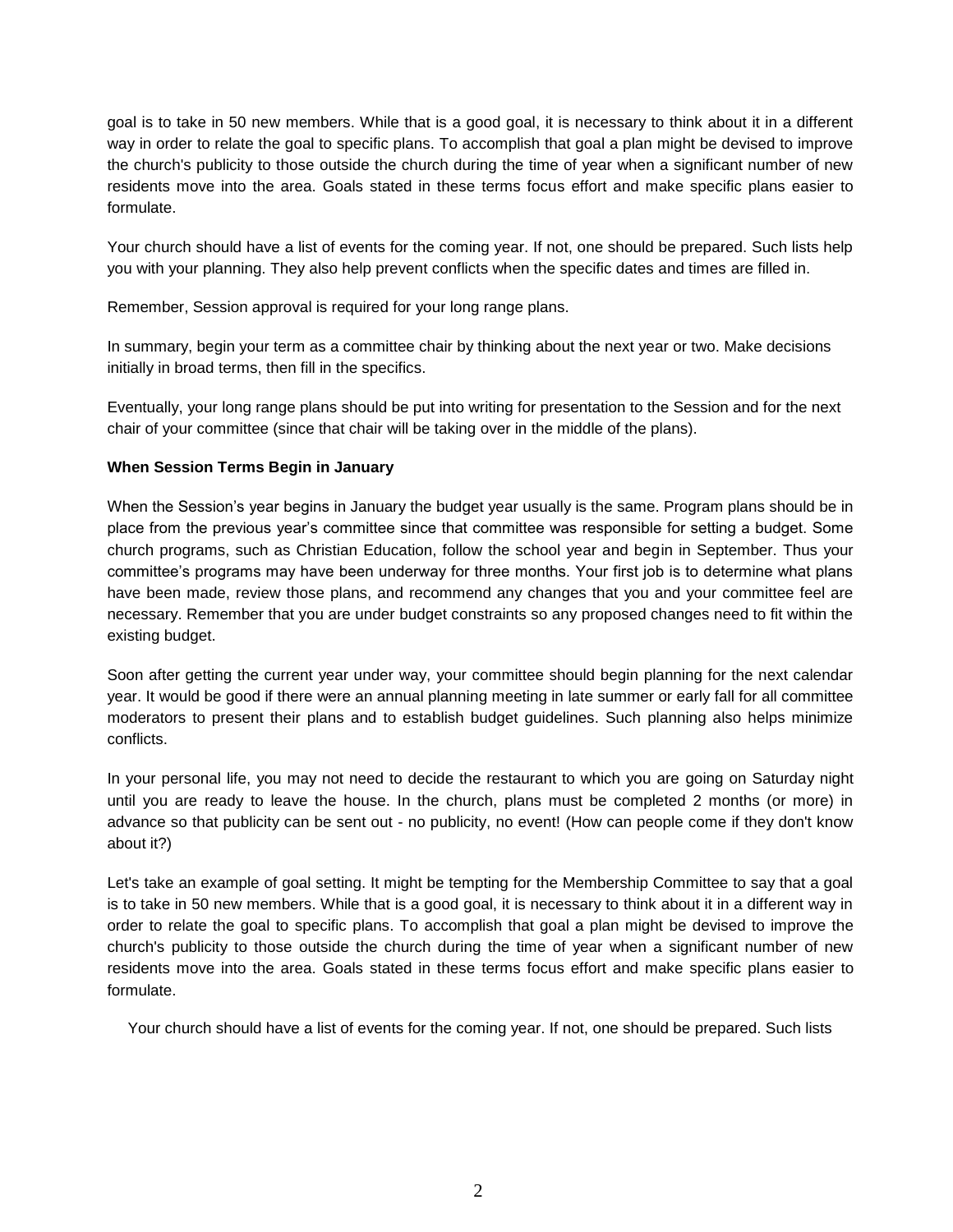goal is to take in 50 new members. While that is a good goal, it is necessary to think about it in a different way in order to relate the goal to specific plans. To accomplish that goal a plan might be devised to improve the church's publicity to those outside the church during the time of year when a significant number of new residents move into the area. Goals stated in these terms focus effort and make specific plans easier to formulate.

Your church should have a list of events for the coming year. If not, one should be prepared. Such lists help you with your planning. They also help prevent conflicts when the specific dates and times are filled in.

Remember, Session approval is required for your long range plans.

In summary, begin your term as a committee chair by thinking about the next year or two. Make decisions initially in broad terms, then fill in the specifics.

Eventually, your long range plans should be put into writing for presentation to the Session and for the next chair of your committee (since that chair will be taking over in the middle of the plans).

#### **When Session Terms Begin in January**

When the Session's year begins in January the budget year usually is the same. Program plans should be in place from the previous year's committee since that committee was responsible for setting a budget. Some church programs, such as Christian Education, follow the school year and begin in September. Thus your committee's programs may have been underway for three months. Your first job is to determine what plans have been made, review those plans, and recommend any changes that you and your committee feel are necessary. Remember that you are under budget constraints so any proposed changes need to fit within the existing budget.

Soon after getting the current year under way, your committee should begin planning for the next calendar year. It would be good if there were an annual planning meeting in late summer or early fall for all committee moderators to present their plans and to establish budget guidelines. Such planning also helps minimize conflicts.

In your personal life, you may not need to decide the restaurant to which you are going on Saturday night until you are ready to leave the house. In the church, plans must be completed 2 months (or more) in advance so that publicity can be sent out - no publicity, no event! (How can people come if they don't know about it?)

Let's take an example of goal setting. It might be tempting for the Membership Committee to say that a goal is to take in 50 new members. While that is a good goal, it is necessary to think about it in a different way in order to relate the goal to specific plans. To accomplish that goal a plan might be devised to improve the church's publicity to those outside the church during the time of year when a significant number of new residents move into the area. Goals stated in these terms focus effort and make specific plans easier to formulate.

Your church should have a list of events for the coming year. If not, one should be prepared. Such lists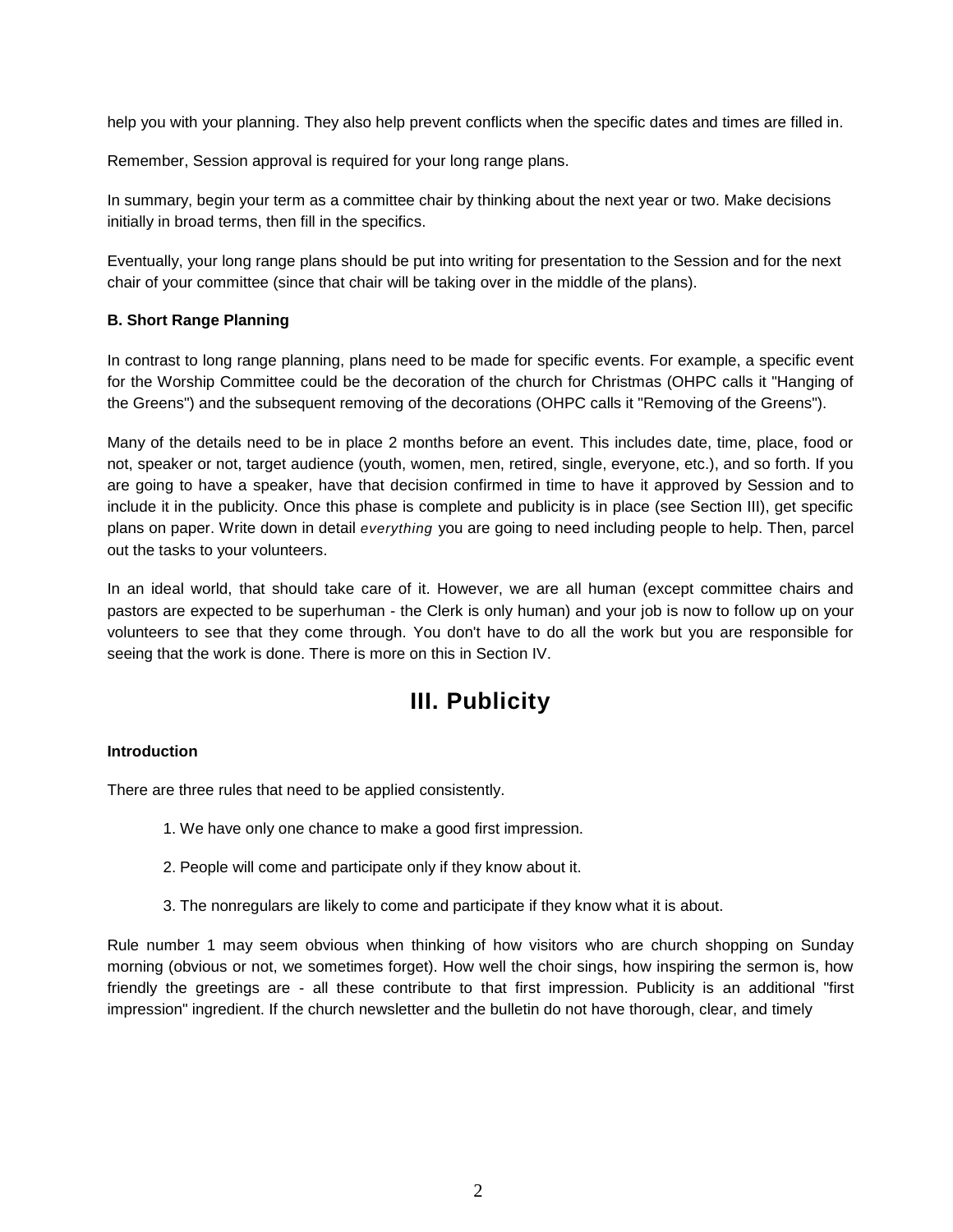help you with your planning. They also help prevent conflicts when the specific dates and times are filled in.

Remember, Session approval is required for your long range plans.

In summary, begin your term as a committee chair by thinking about the next year or two. Make decisions initially in broad terms, then fill in the specifics.

Eventually, your long range plans should be put into writing for presentation to the Session and for the next chair of your committee (since that chair will be taking over in the middle of the plans).

#### **B. Short Range Planning**

In contrast to long range planning, plans need to be made for specific events. For example, a specific event for the Worship Committee could be the decoration of the church for Christmas (OHPC calls it "Hanging of the Greens") and the subsequent removing of the decorations (OHPC calls it "Removing of the Greens").

Many of the details need to be in place 2 months before an event. This includes date, time, place, food or not, speaker or not, target audience (youth, women, men, retired, single, everyone, etc.), and so forth. If you are going to have a speaker, have that decision confirmed in time to have it approved by Session and to include it in the publicity. Once this phase is complete and publicity is in place (see Section III), get specific plans on paper. Write down in detail *everything* you are going to need including people to help. Then, parcel out the tasks to your volunteers.

In an ideal world, that should take care of it. However, we are all human (except committee chairs and pastors are expected to be superhuman - the Clerk is only human) and your job is now to follow up on your volunteers to see that they come through. You don't have to do all the work but you are responsible for seeing that the work is done. There is more on this in Section IV.

### **III. Publicity**

#### **Introduction**

There are three rules that need to be applied consistently.

- 1. We have only one chance to make a good first impression.
- 2. People will come and participate only if they know about it.
- 3. The nonregulars are likely to come and participate if they know what it is about.

Rule number 1 may seem obvious when thinking of how visitors who are church shopping on Sunday morning (obvious or not, we sometimes forget). How well the choir sings, how inspiring the sermon is, how friendly the greetings are - all these contribute to that first impression. Publicity is an additional "first impression" ingredient. If the church newsletter and the bulletin do not have thorough, clear, and timely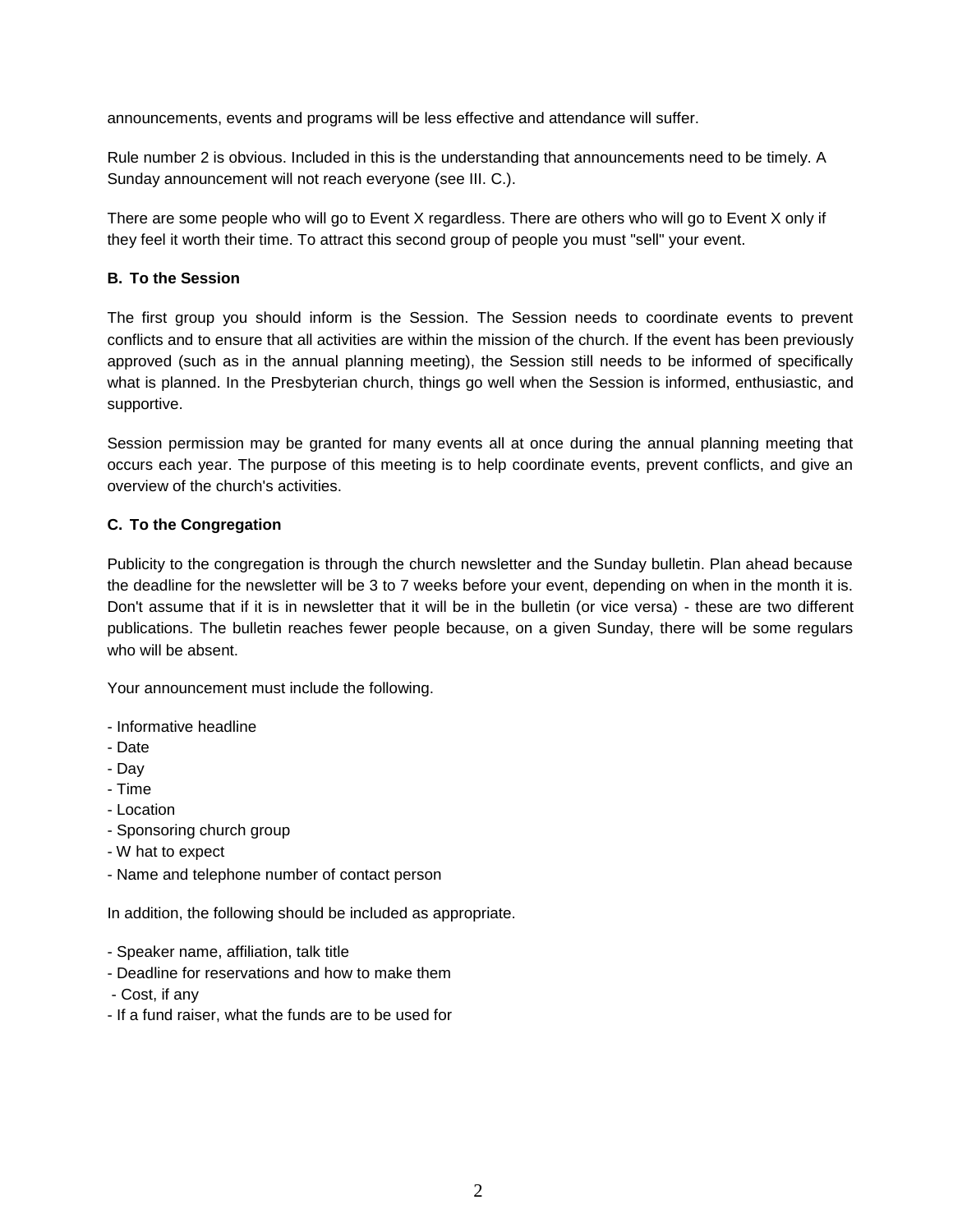announcements, events and programs will be less effective and attendance will suffer.

Rule number 2 is obvious. Included in this is the understanding that announcements need to be timely. A Sunday announcement will not reach everyone (see III. C.).

There are some people who will go to Event X regardless. There are others who will go to Event X only if they feel it worth their time. To attract this second group of people you must "sell" your event.

#### **B. To the Session**

The first group you should inform is the Session. The Session needs to coordinate events to prevent conflicts and to ensure that all activities are within the mission of the church. If the event has been previously approved (such as in the annual planning meeting), the Session still needs to be informed of specifically what is planned. In the Presbyterian church, things go well when the Session is informed, enthusiastic, and supportive.

Session permission may be granted for many events all at once during the annual planning meeting that occurs each year. The purpose of this meeting is to help coordinate events, prevent conflicts, and give an overview of the church's activities.

#### **C. To the Congregation**

Publicity to the congregation is through the church newsletter and the Sunday bulletin. Plan ahead because the deadline for the newsletter will be 3 to 7 weeks before your event, depending on when in the month it is. Don't assume that if it is in newsletter that it will be in the bulletin (or vice versa) - these are two different publications. The bulletin reaches fewer people because, on a given Sunday, there will be some regulars who will be absent.

Your announcement must include the following.

- Informative headline
- Date
- Day
- Time
- Location
- Sponsoring church group
- W hat to expect
- Name and telephone number of contact person

In addition, the following should be included as appropriate.

- Speaker name, affiliation, talk title
- Deadline for reservations and how to make them
- Cost, if any
- If a fund raiser, what the funds are to be used for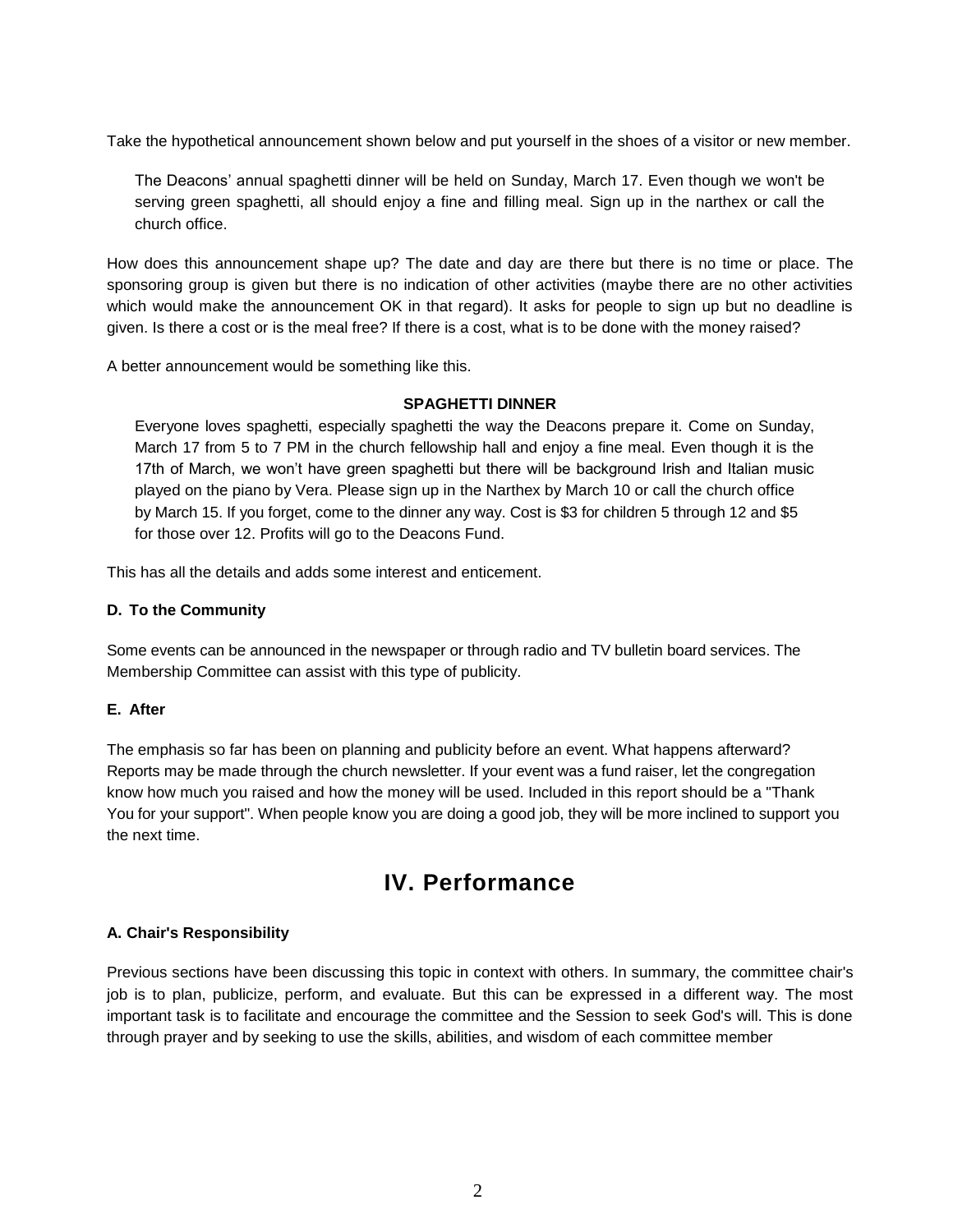Take the hypothetical announcement shown below and put yourself in the shoes of a visitor or new member.

The Deacons' annual spaghetti dinner will be held on Sunday, March 17. Even though we won't be serving green spaghetti, all should enjoy a fine and filling meal. Sign up in the narthex or call the church office.

How does this announcement shape up? The date and day are there but there is no time or place. The sponsoring group is given but there is no indication of other activities (maybe there are no other activities which would make the announcement OK in that regard). It asks for people to sign up but no deadline is given. Is there a cost or is the meal free? If there is a cost, what is to be done with the money raised?

A better announcement would be something like this.

#### **SPAGHETTI DINNER**

Everyone loves spaghetti, especially spaghetti the way the Deacons prepare it. Come on Sunday, March 17 from 5 to 7 PM in the church fellowship hall and enjoy a fine meal. Even though it is the 17th of March, we won't have green spaghetti but there will be background Irish and Italian music played on the piano by Vera. Please sign up in the Narthex by March 10 or call the church office by March 15. If you forget, come to the dinner any way. Cost is \$3 for children 5 through 12 and \$5 for those over 12. Profits will go to the Deacons Fund.

This has all the details and adds some interest and enticement.

#### **D. To the Community**

Some events can be announced in the newspaper or through radio and TV bulletin board services. The Membership Committee can assist with this type of publicity.

#### **E. After**

The emphasis so far has been on planning and publicity before an event. What happens afterward? Reports may be made through the church newsletter. If your event was a fund raiser, let the congregation know how much you raised and how the money will be used. Included in this report should be a "Thank You for your support". When people know you are doing a good job, they will be more inclined to support you the next time.

### **IV. Performance**

#### **A. Chair's Responsibility**

Previous sections have been discussing this topic in context with others. In summary, the committee chair's job is to plan, publicize, perform, and evaluate. But this can be expressed in a different way. The most important task is to facilitate and encourage the committee and the Session to seek God's will. This is done through prayer and by seeking to use the skills, abilities, and wisdom of each committee member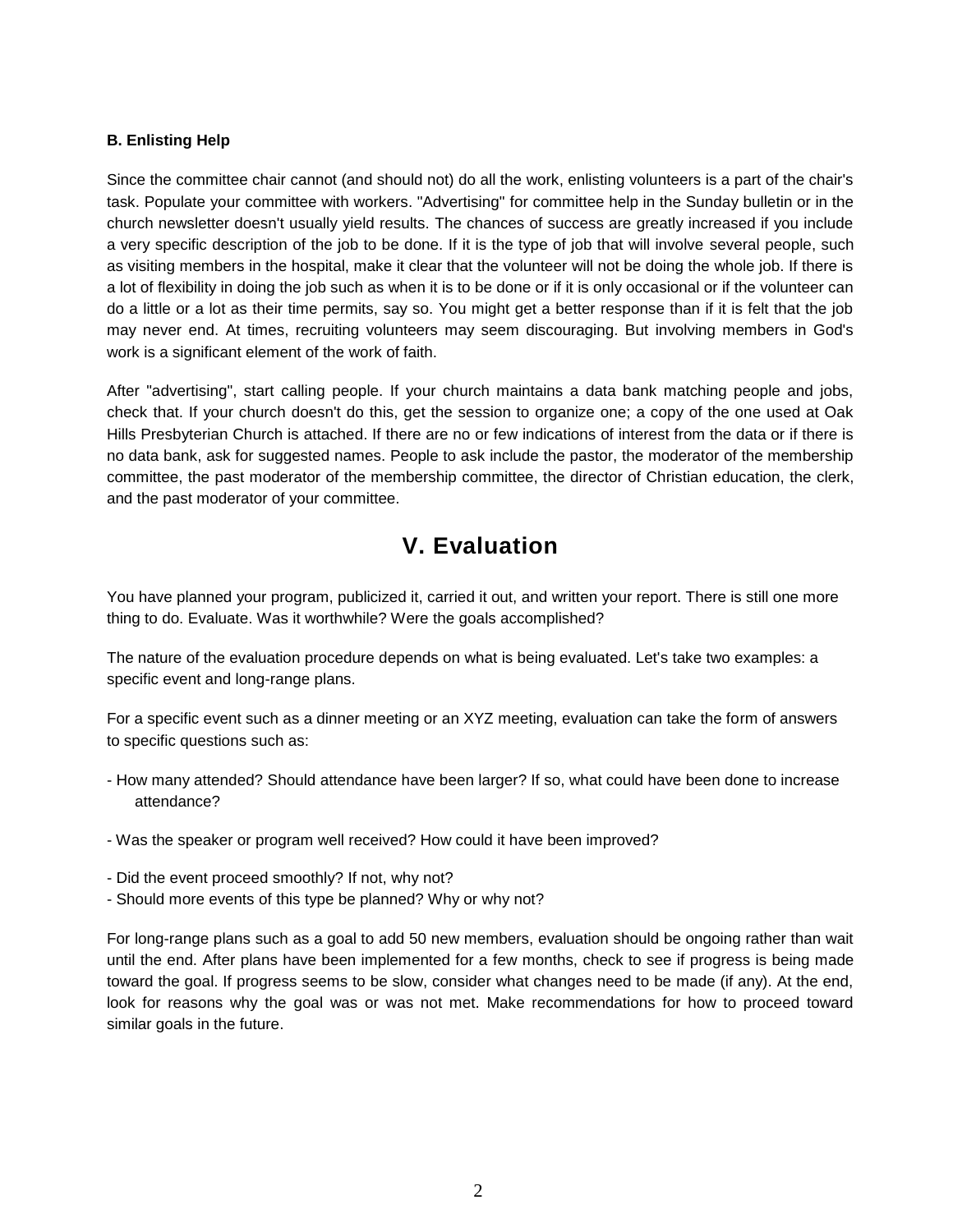#### **B. Enlisting Help**

Since the committee chair cannot (and should not) do all the work, enlisting volunteers is a part of the chair's task. Populate your committee with workers. "Advertising" for committee help in the Sunday bulletin or in the church newsletter doesn't usually yield results. The chances of success are greatly increased if you include a very specific description of the job to be done. If it is the type of job that will involve several people, such as visiting members in the hospital, make it clear that the volunteer will not be doing the whole job. If there is a lot of flexibility in doing the job such as when it is to be done or if it is only occasional or if the volunteer can do a little or a lot as their time permits, say so. You might get a better response than if it is felt that the job may never end. At times, recruiting volunteers may seem discouraging. But involving members in God's work is a significant element of the work of faith.

After "advertising", start calling people. If your church maintains a data bank matching people and jobs, check that. If your church doesn't do this, get the session to organize one; a copy of the one used at Oak Hills Presbyterian Church is attached. If there are no or few indications of interest from the data or if there is no data bank, ask for suggested names. People to ask include the pastor, the moderator of the membership committee, the past moderator of the membership committee, the director of Christian education, the clerk, and the past moderator of your committee.

### **V. Evaluation**

You have planned your program, publicized it, carried it out, and written your report. There is still one more thing to do. Evaluate. Was it worthwhile? Were the goals accomplished?

The nature of the evaluation procedure depends on what is being evaluated. Let's take two examples: a specific event and long-range plans.

For a specific event such as a dinner meeting or an XYZ meeting, evaluation can take the form of answers to specific questions such as:

- How many attended? Should attendance have been larger? If so, what could have been done to increase attendance?
- Was the speaker or program well received? How could it have been improved?
- Did the event proceed smoothly? If not, why not?
- Should more events of this type be planned? Why or why not?

For long-range plans such as a goal to add 50 new members, evaluation should be ongoing rather than wait until the end. After plans have been implemented for a few months, check to see if progress is being made toward the goal. If progress seems to be slow, consider what changes need to be made (if any). At the end, look for reasons why the goal was or was not met. Make recommendations for how to proceed toward similar goals in the future.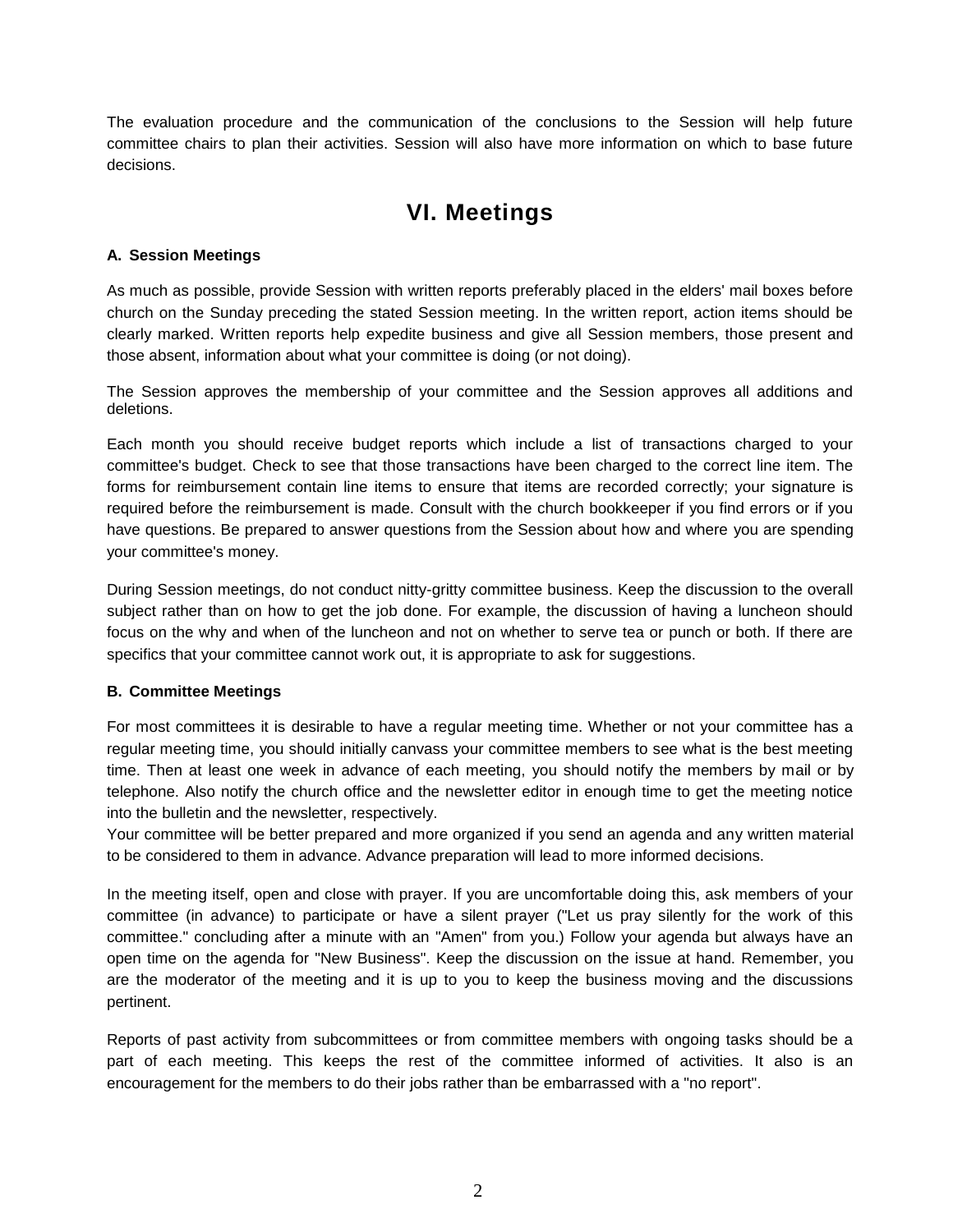The evaluation procedure and the communication of the conclusions to the Session will help future committee chairs to plan their activities. Session will also have more information on which to base future decisions.

## **VI. Meetings**

#### **A. Session Meetings**

As much as possible, provide Session with written reports preferably placed in the elders' mail boxes before church on the Sunday preceding the stated Session meeting. In the written report, action items should be clearly marked. Written reports help expedite business and give all Session members, those present and those absent, information about what your committee is doing (or not doing).

The Session approves the membership of your committee and the Session approves all additions and deletions.

Each month you should receive budget reports which include a list of transactions charged to your committee's budget. Check to see that those transactions have been charged to the correct line item. The forms for reimbursement contain line items to ensure that items are recorded correctly; your signature is required before the reimbursement is made. Consult with the church bookkeeper if you find errors or if you have questions. Be prepared to answer questions from the Session about how and where you are spending your committee's money.

During Session meetings, do not conduct nitty-gritty committee business. Keep the discussion to the overall subject rather than on how to get the job done. For example, the discussion of having a luncheon should focus on the why and when of the luncheon and not on whether to serve tea or punch or both. If there are specifics that your committee cannot work out, it is appropriate to ask for suggestions.

#### **B. Committee Meetings**

For most committees it is desirable to have a regular meeting time. Whether or not your committee has a regular meeting time, you should initially canvass your committee members to see what is the best meeting time. Then at least one week in advance of each meeting, you should notify the members by mail or by telephone. Also notify the church office and the newsletter editor in enough time to get the meeting notice into the bulletin and the newsletter, respectively.

Your committee will be better prepared and more organized if you send an agenda and any written material to be considered to them in advance. Advance preparation will lead to more informed decisions.

In the meeting itself, open and close with prayer. If you are uncomfortable doing this, ask members of your committee (in advance) to participate or have a silent prayer ("Let us pray silently for the work of this committee." concluding after a minute with an "Amen" from you.) Follow your agenda but always have an open time on the agenda for "New Business". Keep the discussion on the issue at hand. Remember, you are the moderator of the meeting and it is up to you to keep the business moving and the discussions pertinent.

Reports of past activity from subcommittees or from committee members with ongoing tasks should be a part of each meeting. This keeps the rest of the committee informed of activities. It also is an encouragement for the members to do their jobs rather than be embarrassed with a "no report".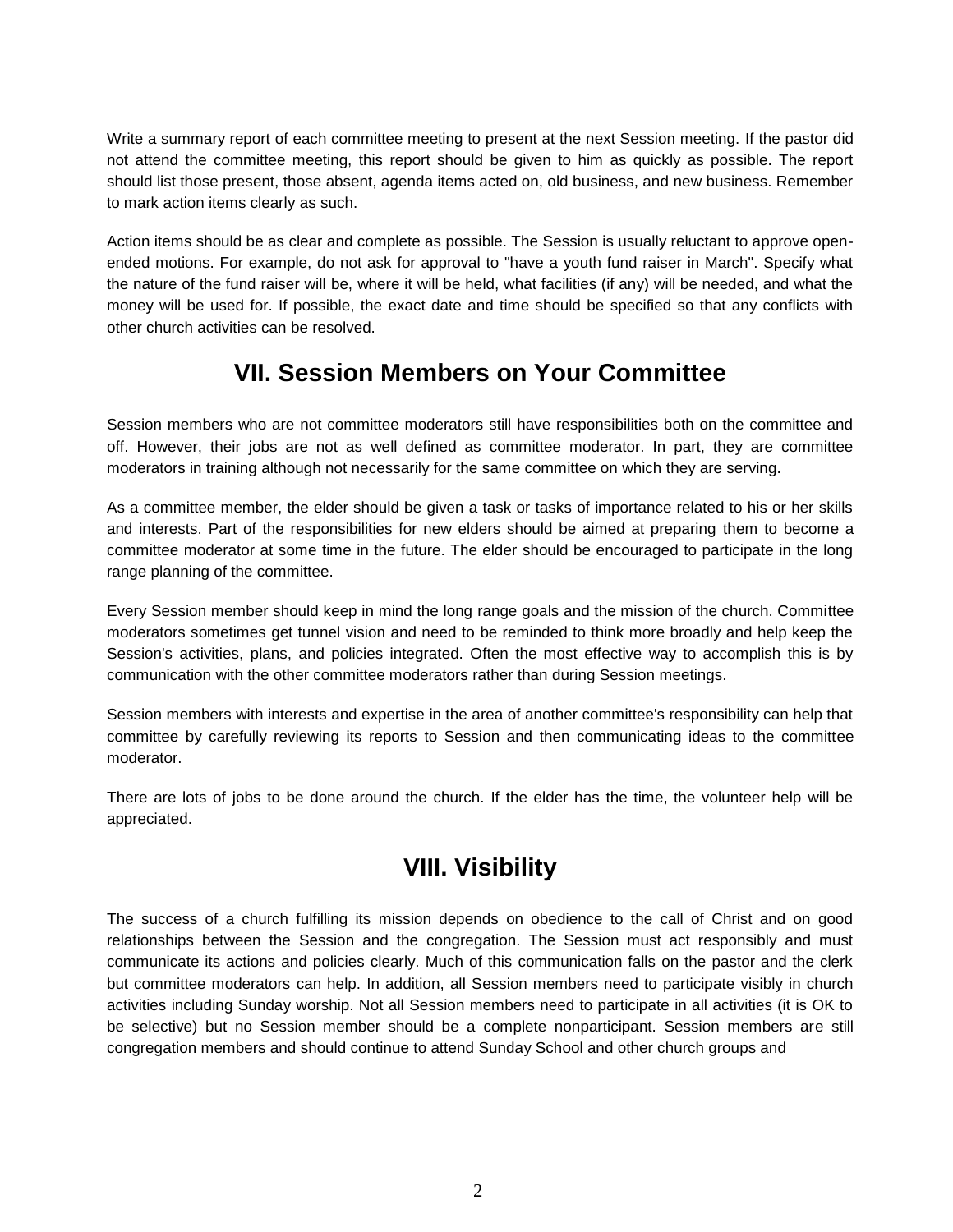Write a summary report of each committee meeting to present at the next Session meeting. If the pastor did not attend the committee meeting, this report should be given to him as quickly as possible. The report should list those present, those absent, agenda items acted on, old business, and new business. Remember to mark action items clearly as such.

Action items should be as clear and complete as possible. The Session is usually reluctant to approve openended motions. For example, do not ask for approval to "have a youth fund raiser in March". Specify what the nature of the fund raiser will be, where it will be held, what facilities (if any) will be needed, and what the money will be used for. If possible, the exact date and time should be specified so that any conflicts with other church activities can be resolved.

## **VII. Session Members on Your Committee**

Session members who are not committee moderators still have responsibilities both on the committee and off. However, their jobs are not as well defined as committee moderator. In part, they are committee moderators in training although not necessarily for the same committee on which they are serving.

As a committee member, the elder should be given a task or tasks of importance related to his or her skills and interests. Part of the responsibilities for new elders should be aimed at preparing them to become a committee moderator at some time in the future. The elder should be encouraged to participate in the long range planning of the committee.

Every Session member should keep in mind the long range goals and the mission of the church. Committee moderators sometimes get tunnel vision and need to be reminded to think more broadly and help keep the Session's activities, plans, and policies integrated. Often the most effective way to accomplish this is by communication with the other committee moderators rather than during Session meetings.

Session members with interests and expertise in the area of another committee's responsibility can help that committee by carefully reviewing its reports to Session and then communicating ideas to the committee moderator.

There are lots of jobs to be done around the church. If the elder has the time, the volunteer help will be appreciated.

## **VIII. Visibility**

The success of a church fulfilling its mission depends on obedience to the call of Christ and on good relationships between the Session and the congregation. The Session must act responsibly and must communicate its actions and policies clearly. Much of this communication falls on the pastor and the clerk but committee moderators can help. In addition, all Session members need to participate visibly in church activities including Sunday worship. Not all Session members need to participate in all activities (it is OK to be selective) but no Session member should be a complete nonparticipant. Session members are still congregation members and should continue to attend Sunday School and other church groups and